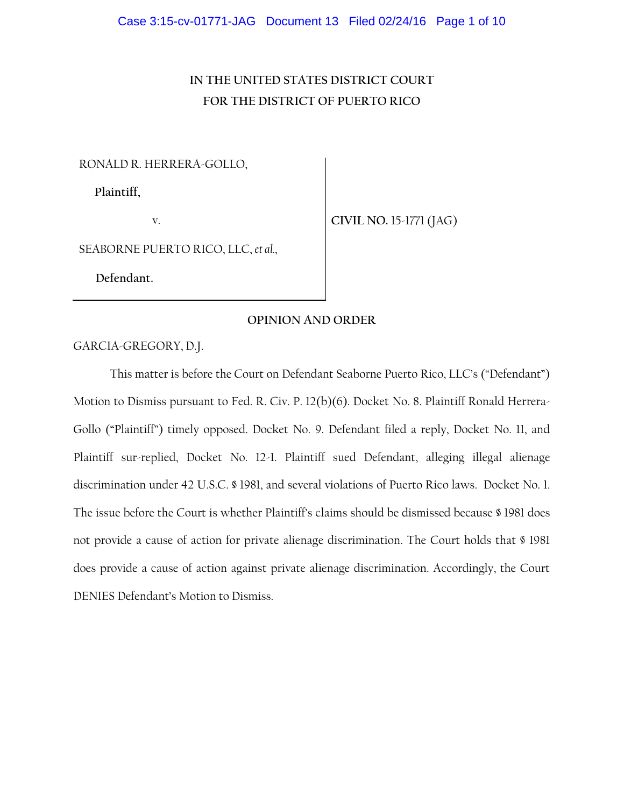# **IN THE UNITED STATES DISTRICT COURT FOR THE DISTRICT OF PUERTO RICO**

RONALD R. HERRERA-GOLLO,

**Plaintiff,**

v.

**CIVIL NO.** 15-1771 (JAG)

SEABORNE PUERTO RICO, LLC, *et al.*,

 **Defendant.**

# **OPINION AND ORDER**

GARCIA-GREGORY, D.J.

This matter is before the Court on Defendant Seaborne Puerto Rico, LLC's ("Defendant") Motion to Dismiss pursuant to Fed. R. Civ. P. 12(b)(6). Docket No. 8. Plaintiff Ronald Herrera-Gollo ("Plaintiff") timely opposed. Docket No. 9. Defendant filed a reply, Docket No. 11, and Plaintiff sur-replied, Docket No. 12-1. Plaintiff sued Defendant, alleging illegal alienage discrimination under 42 U.S.C. § 1981, and several violations of Puerto Rico laws. Docket No. 1. The issue before the Court is whether Plaintiff's claims should be dismissed because § 1981 does not provide a cause of action for private alienage discrimination. The Court holds that § 1981 does provide a cause of action against private alienage discrimination. Accordingly, the Court DENIES Defendant's Motion to Dismiss.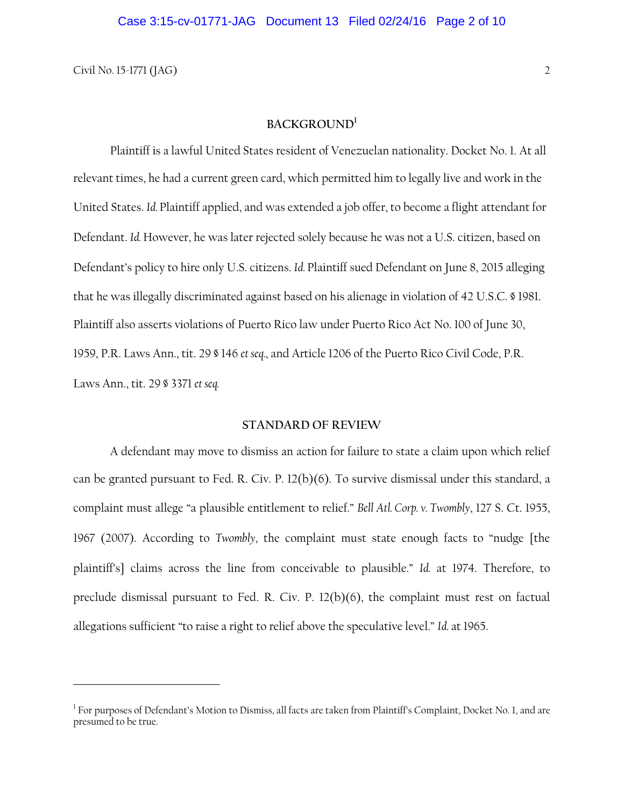$\overline{a}$ 

# **BACKGROUND<sup>1</sup>**

Plaintiff is a lawful United States resident of Venezuelan nationality. Docket No. 1. At all relevant times, he had a current green card, which permitted him to legally live and work in the United States. *Id.* Plaintiff applied, and was extended a job offer, to become a flight attendant for Defendant. *Id.* However, he was later rejected solely because he was not a U.S. citizen, based on Defendant's policy to hire only U.S. citizens. *Id.* Plaintiff sued Defendant on June 8, 2015 alleging that he was illegally discriminated against based on his alienage in violation of 42 U.S.C. § 1981. Plaintiff also asserts violations of Puerto Rico law under Puerto Rico Act No. 100 of June 30, 1959, P.R. Laws Ann., tit. 29 § 146 *et seq.*, and Article 1206 of the Puerto Rico Civil Code, P.R. Laws Ann., tit. 29 § 3371 *et seq.*

# **STANDARD OF REVIEW**

A defendant may move to dismiss an action for failure to state a claim upon which relief can be granted pursuant to Fed. R. Civ. P. 12(b)(6). To survive dismissal under this standard, a complaint must allege "a plausible entitlement to relief." *Bell Atl. Corp. v. Twombly*, 127 S. Ct. 1955, 1967 (2007). According to *Twombly*, the complaint must state enough facts to "nudge [the plaintiff's] claims across the line from conceivable to plausible." *Id.* at 1974. Therefore, to preclude dismissal pursuant to Fed. R. Civ. P. 12(b)(6), the complaint must rest on factual allegations sufficient "to raise a right to relief above the speculative level." *Id.* at 1965.

 $^1$  For purposes of Defendant's Motion to Dismiss, all facts are taken from Plaintiff's Complaint, Docket No. 1, and are presumed to be true.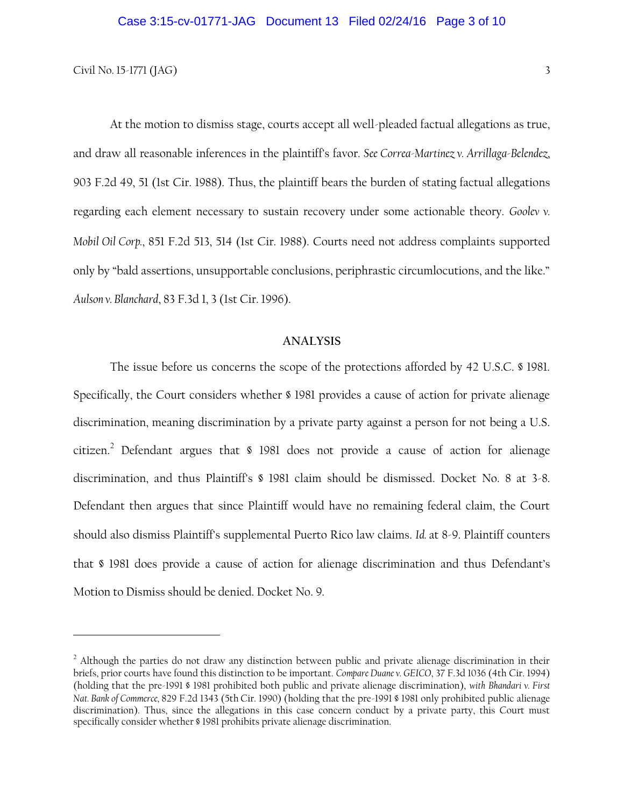# Civil No. 15-1771 (JAG)  $3<sup>3</sup>$

l

At the motion to dismiss stage, courts accept all well-pleaded factual allegations as true, and draw all reasonable inferences in the plaintiff's favor. *See Correa-Martinez v. Arrillaga-Belendez*, 903 F.2d 49, 51 (1st Cir. 1988). Thus, the plaintiff bears the burden of stating factual allegations regarding each element necessary to sustain recovery under some actionable theory. *Goolev v. Mobil Oil Corp.*, 851 F.2d 513, 514 (1st Cir. 1988). Courts need not address complaints supported only by "bald assertions, unsupportable conclusions, periphrastic circumlocutions, and the like." *Aulson v. Blanchard*, 83 F.3d 1, 3 (1st Cir. 1996).

# **ANALYSIS**

The issue before us concerns the scope of the protections afforded by 42 U.S.C. § 1981. Specifically, the Court considers whether § 1981 provides a cause of action for private alienage discrimination, meaning discrimination by a private party against a person for not being a U.S. citizen.<sup>2</sup> Defendant argues that  $\frac{1981}{100}$  does not provide a cause of action for alienage discrimination, and thus Plaintiff's § 1981 claim should be dismissed. Docket No. 8 at 3-8. Defendant then argues that since Plaintiff would have no remaining federal claim, the Court should also dismiss Plaintiff's supplemental Puerto Rico law claims. *Id.* at 8-9. Plaintiff counters that § 1981 does provide a cause of action for alienage discrimination and thus Defendant's Motion to Dismiss should be denied. Docket No. 9.

<sup>&</sup>lt;sup>2</sup> Although the parties do not draw any distinction between public and private alienage discrimination in their briefs, prior courts have found this distinction to be important. *Compare Duane v. GEICO*, 37 F.3d 1036 (4th Cir. 1994) (holding that the pre-1991 § 1981 prohibited both public and private alienage discrimination), *with Bhandari v. First Nat. Bank of Commerce,* 829 F.2d 1343 (5th Cir. 1990) (holding that the pre-1991 § 1981 only prohibited public alienage discrimination). Thus, since the allegations in this case concern conduct by a private party, this Court must specifically consider whether § 1981 prohibits private alienage discrimination.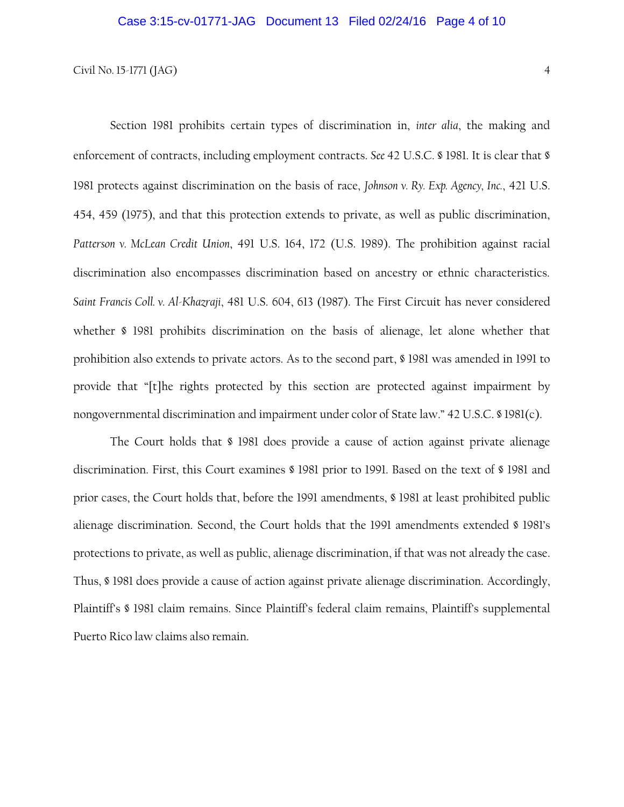Section 1981 prohibits certain types of discrimination in, *inter alia*, the making and enforcement of contracts, including employment contracts. *See* 42 U.S.C. § 1981. It is clear that § 1981 protects against discrimination on the basis of race, *Johnson v. Ry. Exp. Agency, Inc.*, 421 U.S. 454, 459 (1975), and that this protection extends to private, as well as public discrimination, *Patterson v. McLean Credit Union*, 491 U.S. 164, 172 (U.S. 1989). The prohibition against racial discrimination also encompasses discrimination based on ancestry or ethnic characteristics. *Saint Francis Coll. v. Al-Khazraji*, 481 U.S. 604, 613 (1987). The First Circuit has never considered whether § 1981 prohibits discrimination on the basis of alienage, let alone whether that prohibition also extends to private actors. As to the second part, § 1981 was amended in 1991 to provide that "[t]he rights protected by this section are protected against impairment by nongovernmental discrimination and impairment under color of State law." 42 U.S.C. § 1981(c).

The Court holds that § 1981 does provide a cause of action against private alienage discrimination. First, this Court examines § 1981 prior to 1991. Based on the text of § 1981 and prior cases, the Court holds that, before the 1991 amendments, § 1981 at least prohibited public alienage discrimination. Second, the Court holds that the 1991 amendments extended § 1981's protections to private, as well as public, alienage discrimination, if that was not already the case. Thus, § 1981 does provide a cause of action against private alienage discrimination. Accordingly, Plaintiff's § 1981 claim remains. Since Plaintiff's federal claim remains, Plaintiff's supplemental Puerto Rico law claims also remain.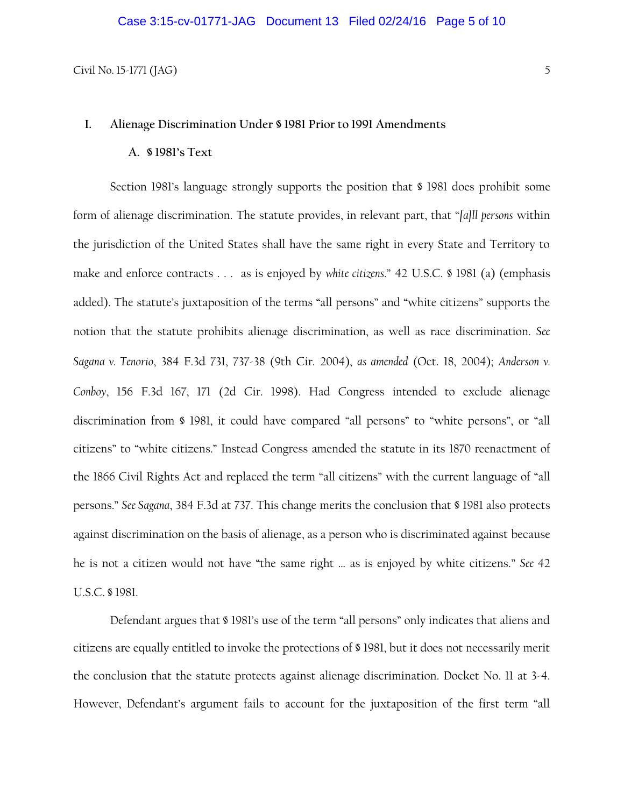# **I. Alienage Discrimination Under § 1981 Prior to 1991 Amendments**

# **A. § 1981's Text**

Section 1981's language strongly supports the position that § 1981 does prohibit some form of alienage discrimination. The statute provides, in relevant part, that "*[a]ll persons* within the jurisdiction of the United States shall have the same right in every State and Territory to make and enforce contracts . . . as is enjoyed by *white citizens*." 42 U.S.C. § 1981 (a) (emphasis added). The statute's juxtaposition of the terms "all persons" and "white citizens" supports the notion that the statute prohibits alienage discrimination, as well as race discrimination. *See Sagana v. Tenorio*, 384 F.3d 731, 737-38 (9th Cir. 2004), *as amended* (Oct. 18, 2004); *Anderson v. Conboy*, 156 F.3d 167, 171 (2d Cir. 1998). Had Congress intended to exclude alienage discrimination from § 1981, it could have compared "all persons" to "white persons", or "all citizens" to "white citizens." Instead Congress amended the statute in its 1870 reenactment of the 1866 Civil Rights Act and replaced the term "all citizens" with the current language of "all persons." *See Sagana*, 384 F.3d at 737. This change merits the conclusion that § 1981 also protects against discrimination on the basis of alienage, as a person who is discriminated against because he is not a citizen would not have "the same right … as is enjoyed by white citizens." *See* 42 U.S.C. § 1981.

Defendant argues that § 1981's use of the term "all persons" only indicates that aliens and citizens are equally entitled to invoke the protections of § 1981, but it does not necessarily merit the conclusion that the statute protects against alienage discrimination. Docket No. 11 at 3-4. However, Defendant's argument fails to account for the juxtaposition of the first term "all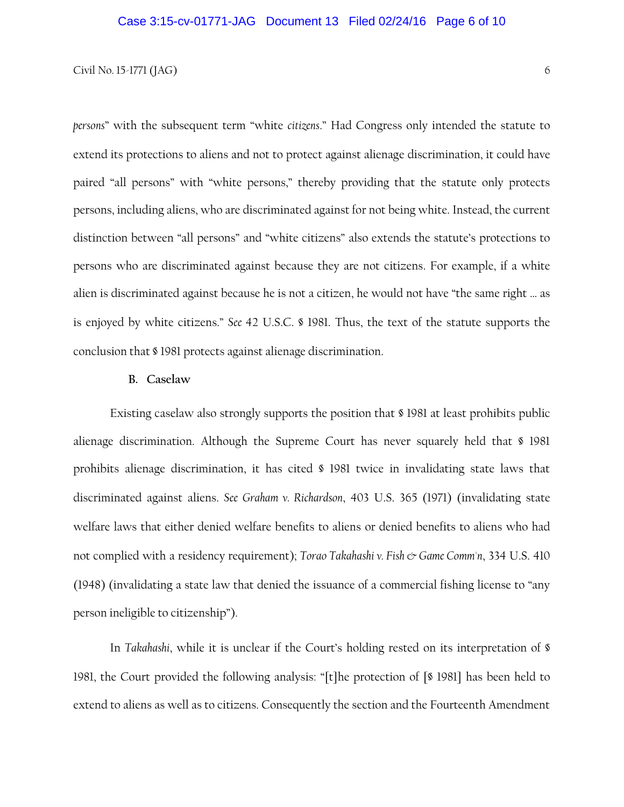*persons*" with the subsequent term "white *citizens*." Had Congress only intended the statute to extend its protections to aliens and not to protect against alienage discrimination, it could have paired "all persons" with "white persons," thereby providing that the statute only protects persons, including aliens, who are discriminated against for not being white. Instead, the current distinction between "all persons" and "white citizens" also extends the statute's protections to persons who are discriminated against because they are not citizens. For example, if a white alien is discriminated against because he is not a citizen, he would not have "the same right … as is enjoyed by white citizens." *See* 42 U.S.C. § 1981. Thus, the text of the statute supports the conclusion that § 1981 protects against alienage discrimination.

# **B. Caselaw**

Existing caselaw also strongly supports the position that § 1981 at least prohibits public alienage discrimination. Although the Supreme Court has never squarely held that § 1981 prohibits alienage discrimination, it has cited § 1981 twice in invalidating state laws that discriminated against aliens. *See Graham v. Richardson*, 403 U.S. 365 (1971) (invalidating state welfare laws that either denied welfare benefits to aliens or denied benefits to aliens who had not complied with a residency requirement); *Torao Takahashi v. Fish & Game Comm'n*, 334 U.S. 410 (1948) (invalidating a state law that denied the issuance of a commercial fishing license to "any person ineligible to citizenship").

In *Takahashi*, while it is unclear if the Court's holding rested on its interpretation of § 1981, the Court provided the following analysis: "[t]he protection of [§ 1981] has been held to extend to aliens as well as to citizens. Consequently the section and the Fourteenth Amendment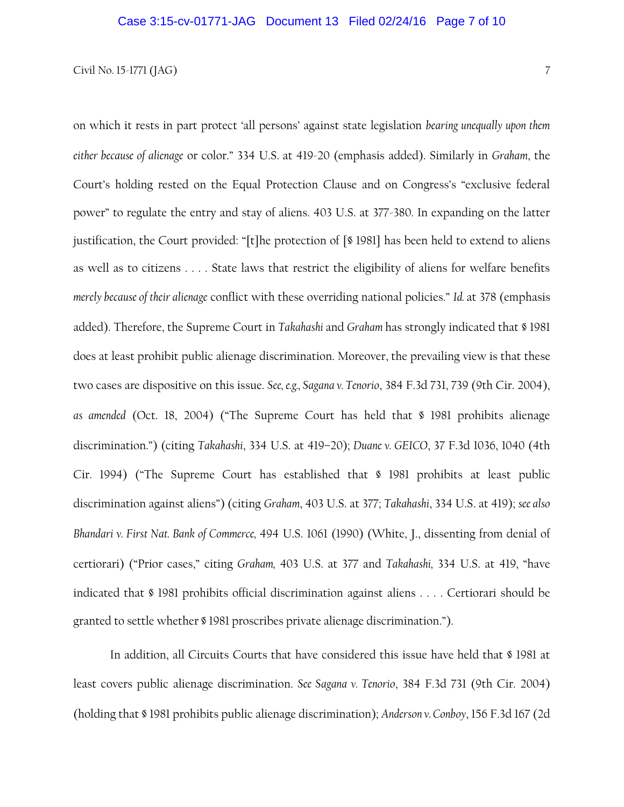# Civil No. 15-1771 (JAG)  $\frac{7}{2}$

on which it rests in part protect 'all persons' against state legislation *bearing unequally upon them either because of alienage* or color." 334 U.S. at 419-20 (emphasis added). Similarly in *Graham*, the Court's holding rested on the Equal Protection Clause and on Congress's "exclusive federal power" to regulate the entry and stay of aliens. 403 U.S. at 377-380. In expanding on the latter justification, the Court provided: "[t]he protection of [§ 1981] has been held to extend to aliens as well as to citizens . . . . State laws that restrict the eligibility of aliens for welfare benefits *merely because of their alienage* conflict with these overriding national policies." *Id.* at 378 (emphasis added). Therefore, the Supreme Court in *Takahashi* and *Graham* has strongly indicated that § 1981 does at least prohibit public alienage discrimination. Moreover, the prevailing view is that these two cases are dispositive on this issue. *See, e.g., Sagana v. Tenorio*, 384 F.3d 731, 739 (9th Cir. 2004), *as amended* (Oct. 18, 2004) ("The Supreme Court has held that § 1981 prohibits alienage discrimination.") (citing *Takahashi*, 334 U.S. at 419–20); *Duane v. GEICO*, 37 F.3d 1036, 1040 (4th Cir. 1994) ("The Supreme Court has established that § 1981 prohibits at least public discrimination against aliens") (citing *Graham*, 403 U.S. at 377; *Takahashi*, 334 U.S. at 419); *see also Bhandari v. First Nat. Bank of Commerce,* 494 U.S. 1061 (1990) (White, J., dissenting from denial of certiorari) ("Prior cases," citing *Graham,* 403 U.S. at 377 and *Takahashi,* 334 U.S. at 419, "have indicated that § 1981 prohibits official discrimination against aliens . . . . Certiorari should be granted to settle whether § 1981 proscribes private alienage discrimination.").

In addition, all Circuits Courts that have considered this issue have held that § 1981 at least covers public alienage discrimination. *See Sagana v. Tenorio*, 384 F.3d 731 (9th Cir. 2004) (holding that § 1981 prohibits public alienage discrimination); *Anderson v. Conboy*, 156 F.3d 167 (2d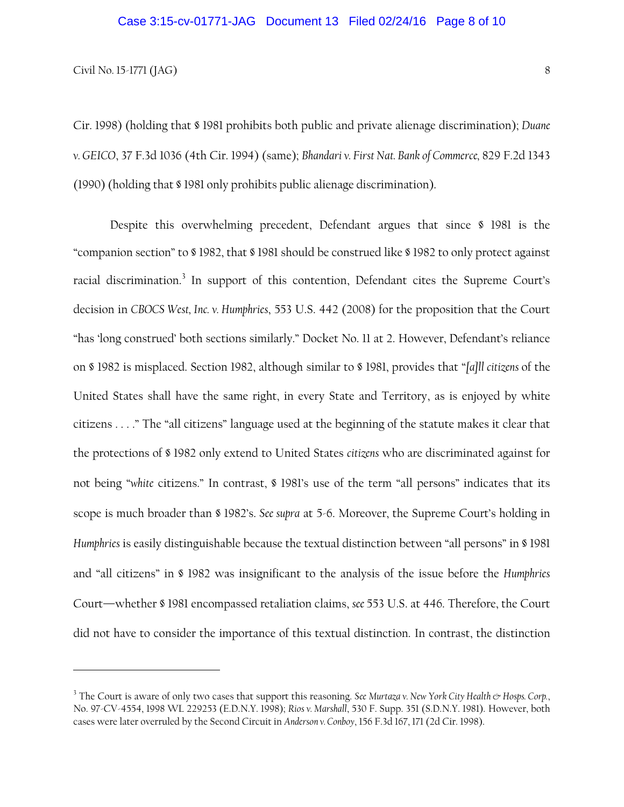l

Cir. 1998) (holding that § 1981 prohibits both public and private alienage discrimination); *Duane v. GEICO*, 37 F.3d 1036 (4th Cir. 1994) (same); *Bhandari v. First Nat. Bank of Commerce,* 829 F.2d 1343 (1990) (holding that § 1981 only prohibits public alienage discrimination).

Despite this overwhelming precedent, Defendant argues that since § 1981 is the "companion section" to § 1982, that § 1981 should be construed like § 1982 to only protect against racial discrimination.<sup>3</sup> In support of this contention, Defendant cites the Supreme Court's decision in *CBOCS West, Inc. v. Humphries*, 553 U.S. 442 (2008) for the proposition that the Court "has 'long construed' both sections similarly." Docket No. 11 at 2. However, Defendant's reliance on § 1982 is misplaced. Section 1982, although similar to § 1981, provides that "*[a]ll citizens* of the United States shall have the same right, in every State and Territory, as is enjoyed by white citizens . . . ." The "all citizens" language used at the beginning of the statute makes it clear that the protections of § 1982 only extend to United States *citizens* who are discriminated against for not being "*white* citizens." In contrast, § 1981's use of the term "all persons" indicates that its scope is much broader than § 1982's. *See supra* at 5-6. Moreover, the Supreme Court's holding in *Humphries* is easily distinguishable because the textual distinction between "all persons" in § 1981 and "all citizens" in § 1982 was insignificant to the analysis of the issue before the *Humphries*  Court—whether § 1981 encompassed retaliation claims, *see* 553 U.S. at 446. Therefore, the Court did not have to consider the importance of this textual distinction. In contrast, the distinction

<sup>&</sup>lt;sup>3</sup> The Court is aware of only two cases that support this reasoning. *See Murtaza v. New York City Health & Hosps. Corp.*, No. 97-CV-4554, 1998 WL 229253 (E.D.N.Y. 1998); *Rios v. Marshall*, 530 F. Supp. 351 (S.D.N.Y. 1981). However, both cases were later overruled by the Second Circuit in *Anderson v. Conboy*, 156 F.3d 167, 171 (2d Cir. 1998).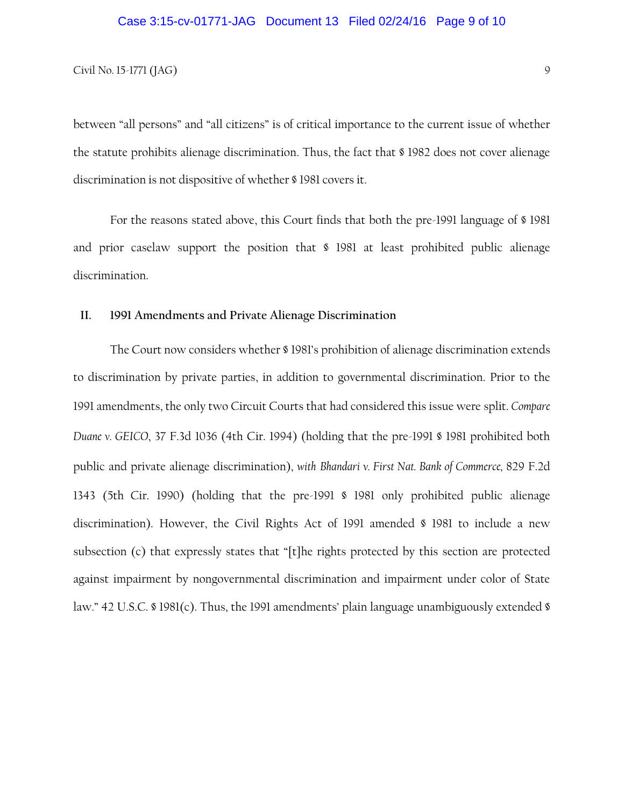between "all persons" and "all citizens" is of critical importance to the current issue of whether the statute prohibits alienage discrimination. Thus, the fact that § 1982 does not cover alienage discrimination is not dispositive of whether § 1981 covers it.

For the reasons stated above, this Court finds that both the pre-1991 language of § 1981 and prior caselaw support the position that § 1981 at least prohibited public alienage discrimination.

# **II. 1991 Amendments and Private Alienage Discrimination**

The Court now considers whether § 1981's prohibition of alienage discrimination extends to discrimination by private parties, in addition to governmental discrimination. Prior to the 1991 amendments, the only two Circuit Courts that had considered this issue were split. *Compare Duane v. GEICO*, 37 F.3d 1036 (4th Cir. 1994) (holding that the pre-1991 § 1981 prohibited both public and private alienage discrimination), *with Bhandari v. First Nat. Bank of Commerce,* 829 F.2d 1343 (5th Cir. 1990) (holding that the pre-1991 § 1981 only prohibited public alienage discrimination). However, the Civil Rights Act of 1991 amended § 1981 to include a new subsection (c) that expressly states that "[t]he rights protected by this section are protected against impairment by nongovernmental discrimination and impairment under color of State law." 42 U.S.C. § 1981(c). Thus, the 1991 amendments' plain language unambiguously extended §